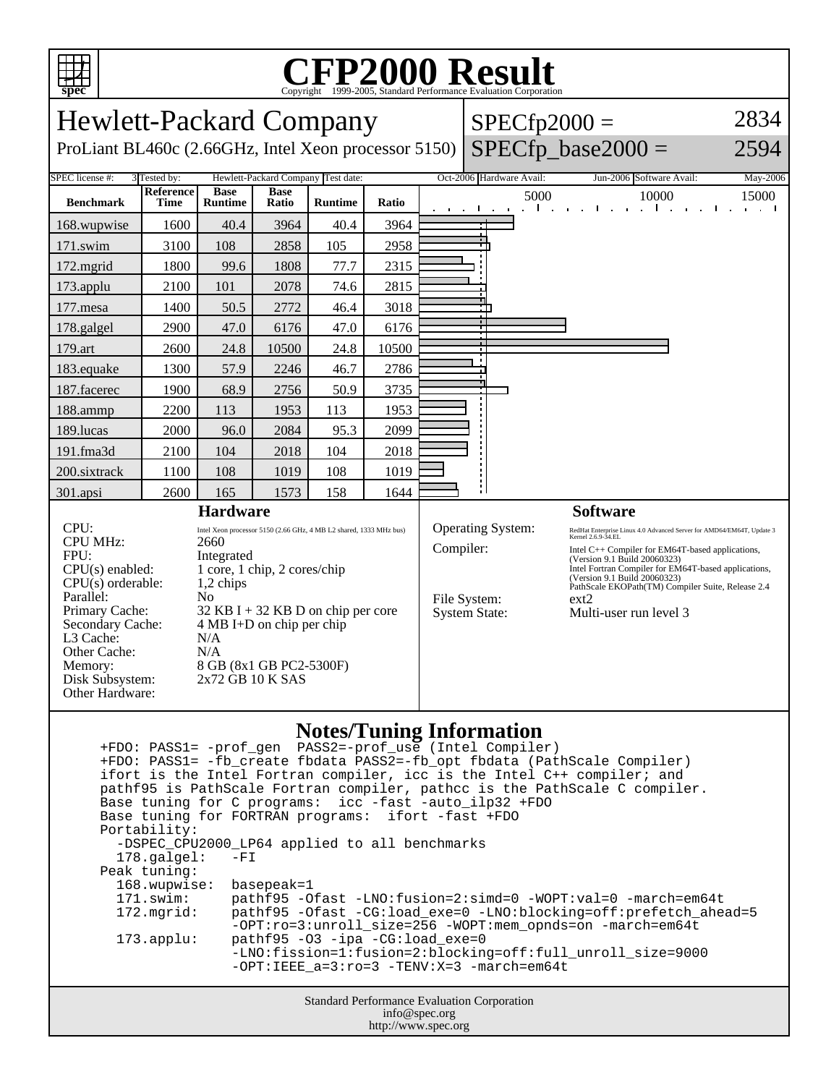

## C<sub>opyright</sub> ©1999-2005, Standard Performance Evaluation Corporation

| <b>Hewlett-Packard Company</b><br>ProLiant BL460c (2.66GHz, Intel Xeon processor 5150)                                                                                                                                                                                                                                                                                                                                                                                                                                  |                          |                               |                      |                |           |                                                           | $SPECfp2000 =$<br>$SPECfp\_base2000 =$                                                                                                                                                                                                                                                                                                                         | 2834<br>2594                                                                          |                                |
|-------------------------------------------------------------------------------------------------------------------------------------------------------------------------------------------------------------------------------------------------------------------------------------------------------------------------------------------------------------------------------------------------------------------------------------------------------------------------------------------------------------------------|--------------------------|-------------------------------|----------------------|----------------|-----------|-----------------------------------------------------------|----------------------------------------------------------------------------------------------------------------------------------------------------------------------------------------------------------------------------------------------------------------------------------------------------------------------------------------------------------------|---------------------------------------------------------------------------------------|--------------------------------|
| Hewlett-Packard Company Test date:<br>SPEC license #:<br>3 Tested by:                                                                                                                                                                                                                                                                                                                                                                                                                                                   |                          |                               |                      |                |           |                                                           | Oct-2006 Hardware Avail:                                                                                                                                                                                                                                                                                                                                       | Jun-2006 Software Avail:                                                              | May-2006                       |
| <b>Benchmark</b>                                                                                                                                                                                                                                                                                                                                                                                                                                                                                                        | Reference<br><b>Time</b> | <b>Base</b><br><b>Runtime</b> | <b>Base</b><br>Ratio | <b>Runtime</b> | Ratio     |                                                           | $\mathcal{L}^{\text{max}}$<br>and a state of the state<br>$\sim$ 10 $\sim$                                                                                                                                                                                                                                                                                     | 5000<br>10000<br>$\mathbf{1}$ and $\mathbf{1}$<br>.<br>$\mathbf{u}$ .<br>$\mathbf{I}$ | 15000<br>and a state<br>$\sim$ |
| 168.wupwise                                                                                                                                                                                                                                                                                                                                                                                                                                                                                                             | 1600                     | 40.4                          | 3964                 | 40.4           | 3964      |                                                           |                                                                                                                                                                                                                                                                                                                                                                |                                                                                       |                                |
| 171.swim                                                                                                                                                                                                                                                                                                                                                                                                                                                                                                                | 3100                     | 108                           | 2858                 | 105            | 2958      |                                                           |                                                                                                                                                                                                                                                                                                                                                                |                                                                                       |                                |
| 172.mgrid                                                                                                                                                                                                                                                                                                                                                                                                                                                                                                               | 1800                     | 99.6                          | 1808                 | 77.7           | 2315      |                                                           |                                                                                                                                                                                                                                                                                                                                                                |                                                                                       |                                |
| 173.applu                                                                                                                                                                                                                                                                                                                                                                                                                                                                                                               | 2100                     | 101                           | 2078                 | 74.6           | 2815      |                                                           |                                                                                                                                                                                                                                                                                                                                                                |                                                                                       |                                |
| 177.mesa                                                                                                                                                                                                                                                                                                                                                                                                                                                                                                                | 1400                     | 50.5                          | 2772                 | 46.4           | 3018      |                                                           |                                                                                                                                                                                                                                                                                                                                                                |                                                                                       |                                |
| 178.galgel                                                                                                                                                                                                                                                                                                                                                                                                                                                                                                              | 2900                     | 47.0                          | 6176                 | 47.0           | 6176      |                                                           |                                                                                                                                                                                                                                                                                                                                                                |                                                                                       |                                |
| 179.art                                                                                                                                                                                                                                                                                                                                                                                                                                                                                                                 | 2600                     | 24.8                          | 10500                | 24.8           | 10500     |                                                           |                                                                                                                                                                                                                                                                                                                                                                |                                                                                       |                                |
| 183.equake                                                                                                                                                                                                                                                                                                                                                                                                                                                                                                              | 1300                     | 57.9                          | 2246                 | 46.7           | 2786      |                                                           |                                                                                                                                                                                                                                                                                                                                                                |                                                                                       |                                |
| 187.facerec                                                                                                                                                                                                                                                                                                                                                                                                                                                                                                             | 1900                     | 68.9                          | 2756                 | 50.9           | 3735      |                                                           |                                                                                                                                                                                                                                                                                                                                                                |                                                                                       |                                |
| 188.ammp                                                                                                                                                                                                                                                                                                                                                                                                                                                                                                                | 2200                     | 113                           | 1953                 | 113            | 1953      |                                                           |                                                                                                                                                                                                                                                                                                                                                                |                                                                                       |                                |
| 189.lucas                                                                                                                                                                                                                                                                                                                                                                                                                                                                                                               | 2000                     | 96.0                          | 2084                 | 95.3           | 2099      |                                                           |                                                                                                                                                                                                                                                                                                                                                                |                                                                                       |                                |
| 191.fma3d                                                                                                                                                                                                                                                                                                                                                                                                                                                                                                               | 2100                     | 104                           | 2018                 | 104            | 2018      |                                                           |                                                                                                                                                                                                                                                                                                                                                                |                                                                                       |                                |
| 200.sixtrack                                                                                                                                                                                                                                                                                                                                                                                                                                                                                                            | 1100                     | 108                           | 1019                 | 108            | 1019      |                                                           |                                                                                                                                                                                                                                                                                                                                                                |                                                                                       |                                |
| 301.apsi                                                                                                                                                                                                                                                                                                                                                                                                                                                                                                                | 2600                     | 165                           | 1573                 | 158            | 1644      |                                                           |                                                                                                                                                                                                                                                                                                                                                                |                                                                                       |                                |
| <b>Hardware</b>                                                                                                                                                                                                                                                                                                                                                                                                                                                                                                         |                          |                               |                      |                |           |                                                           |                                                                                                                                                                                                                                                                                                                                                                | <b>Software</b>                                                                       |                                |
| CPU:<br>Intel Xeon processor 5150 (2.66 GHz, 4 MB L2 shared, 1333 MHz bus)<br><b>CPU MHz:</b><br>2660<br>FPU:<br>Integrated<br>$CPU(s)$ enabled:<br>1 core, 1 chip, 2 cores/chip<br>$CPU(s)$ orderable:<br>1,2 chips<br>Parallel:<br>N <sub>0</sub><br>Primary Cache:<br>$32$ KB I + 32 KB D on chip per core<br>Secondary Cache:<br>$4 MB I+D$ on chip per chip<br>L <sub>3</sub> Cache:<br>N/A<br>Other Cache:<br>N/A<br>8 GB (8x1 GB PC2-5300F)<br>Memory:<br>Disk Subsystem:<br>2x72 GB 10 K SAS<br>Other Hardware: |                          |                               |                      |                | Compiler: | Operating System:<br>File System:<br><b>System State:</b> | RedHat Enterprise Linux 4.0 Advanced Server for AMD64/EM64T, Update 3<br>Kernel 2.6.9-34.EL<br>Intel C++ Compiler for EM64T-based applications,<br>(Version 9.1 Build 20060323)<br>Intel Fortran Compiler for EM64T-based applications,<br>(Version 9.1 Build 20060323)<br>PathScale EKOPath(TM) Compiler Suite, Release 2.4<br>ext2<br>Multi-user run level 3 |                                                                                       |                                |

## **Notes/Tuning Information**

Standard Performance Evaluation Corporation info@spec.org +FDO: PASS1= -prof\_gen PASS2=-prof\_use (Intel Compiler) +FDO: PASS1= -fb\_create fbdata PASS2=-fb\_opt fbdata (PathScale Compiler) ifort is the Intel Fortran compiler, icc is the Intel C++ compiler; and pathf95 is PathScale Fortran compiler, pathcc is the PathScale C compiler. Base tuning for C programs: icc -fast -auto\_ilp32 +FDO Base tuning for FORTRAN programs: ifort -fast +FDO Portability: -DSPEC\_CPU2000\_LP64 applied to all benchmarks<br>178.galgel: -FI  $178.galgel:$  Peak tuning: 168.wupwise: basepeak=1 171.swim: pathf95 -Ofast -LNO:fusion=2:simd=0 -WOPT:val=0 -march=em64t 172.mgrid: pathf95 -Ofast -CG:load\_exe=0 -LNO:blocking=off:prefetch\_ahead=5 -OPT:ro=3:unroll\_size=256 -WOPT:mem\_opnds=on -march=em64t 173.applu: pathf95 -O3 -ipa -CG:load\_exe=0 -LNO:fission=1:fusion=2:blocking=off:full\_unroll\_size=9000 -OPT:IEEE\_a=3:ro=3 -TENV:X=3 -march=em64t

http://www.spec.org